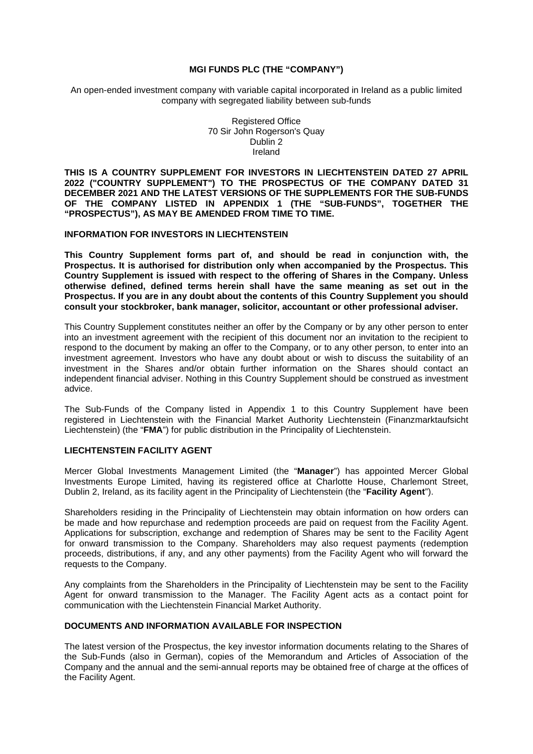### **MGI FUNDS PLC (THE "COMPANY")**

An open-ended investment company with variable capital incorporated in Ireland as a public limited company with segregated liability between sub-funds

> Registered Office 70 Sir John Rogerson's Quay Dublin 2 Ireland

**THIS IS A COUNTRY SUPPLEMENT FOR INVESTORS IN LIECHTENSTEIN DATED 27 APRIL 2022 ("COUNTRY SUPPLEMENT") TO THE PROSPECTUS OF THE COMPANY DATED 31 DECEMBER 2021 AND THE LATEST VERSIONS OF THE SUPPLEMENTS FOR THE SUB-FUNDS OF THE COMPANY LISTED IN APPENDIX 1 (THE "SUB-FUNDS", TOGETHER THE "PROSPECTUS"), AS MAY BE AMENDED FROM TIME TO TIME.** 

### **INFORMATION FOR INVESTORS IN LIECHTENSTEIN**

**This Country Supplement forms part of, and should be read in conjunction with, the Prospectus. It is authorised for distribution only when accompanied by the Prospectus. This Country Supplement is issued with respect to the offering of Shares in the Company. Unless otherwise defined, defined terms herein shall have the same meaning as set out in the Prospectus. If you are in any doubt about the contents of this Country Supplement you should consult your stockbroker, bank manager, solicitor, accountant or other professional adviser.**

This Country Supplement constitutes neither an offer by the Company or by any other person to enter into an investment agreement with the recipient of this document nor an invitation to the recipient to respond to the document by making an offer to the Company, or to any other person, to enter into an investment agreement. Investors who have any doubt about or wish to discuss the suitability of an investment in the Shares and/or obtain further information on the Shares should contact an independent financial adviser. Nothing in this Country Supplement should be construed as investment advice.

The Sub-Funds of the Company listed in Appendix 1 to this Country Supplement have been registered in Liechtenstein with the Financial Market Authority Liechtenstein (Finanzmarktaufsicht Liechtenstein) (the "**FMA**") for public distribution in the Principality of Liechtenstein.

#### **LIECHTENSTEIN FACILITY AGENT**

Mercer Global Investments Management Limited (the "**Manager**") has appointed Mercer Global Investments Europe Limited, having its registered office at Charlotte House, Charlemont Street, Dublin 2, Ireland, as its facility agent in the Principality of Liechtenstein (the "**Facility Agent**").

Shareholders residing in the Principality of Liechtenstein may obtain information on how orders can be made and how repurchase and redemption proceeds are paid on request from the Facility Agent. Applications for subscription, exchange and redemption of Shares may be sent to the Facility Agent for onward transmission to the Company. Shareholders may also request payments (redemption proceeds, distributions, if any, and any other payments) from the Facility Agent who will forward the requests to the Company.

Any complaints from the Shareholders in the Principality of Liechtenstein may be sent to the Facility Agent for onward transmission to the Manager. The Facility Agent acts as a contact point for communication with the Liechtenstein Financial Market Authority.

# **DOCUMENTS AND INFORMATION AVAILABLE FOR INSPECTION**

The latest version of the Prospectus, the key investor information documents relating to the Shares of the Sub-Funds (also in German), copies of the Memorandum and Articles of Association of the Company and the annual and the semi-annual reports may be obtained free of charge at the offices of the Facility Agent.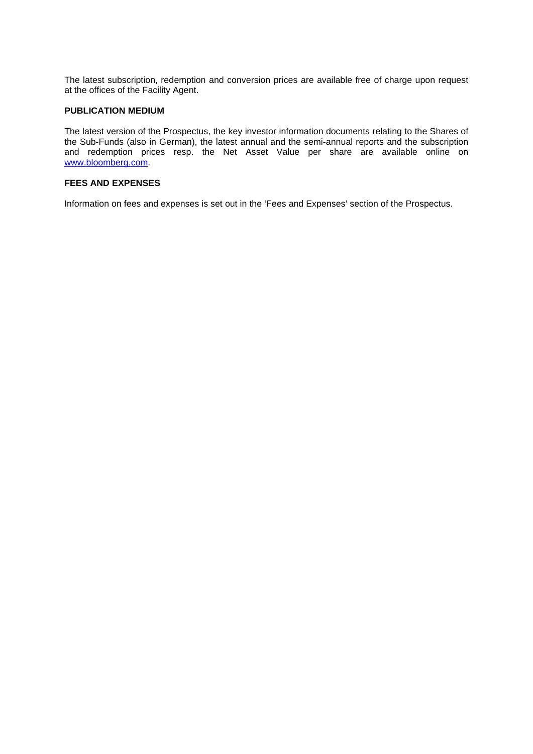The latest subscription, redemption and conversion prices are available free of charge upon request at the offices of the Facility Agent.

#### **PUBLICATION MEDIUM**

The latest version of the Prospectus, the key investor information documents relating to the Shares of the Sub-Funds (also in German), the latest annual and the semi-annual reports and the subscription and redemption prices resp. the Net Asset Value per share are available online on [www.bloomberg.com.](http://www.bloomberg.com/) 

# **FEES AND EXPENSES**

Information on fees and expenses is set out in the 'Fees and Expenses' section of the Prospectus.